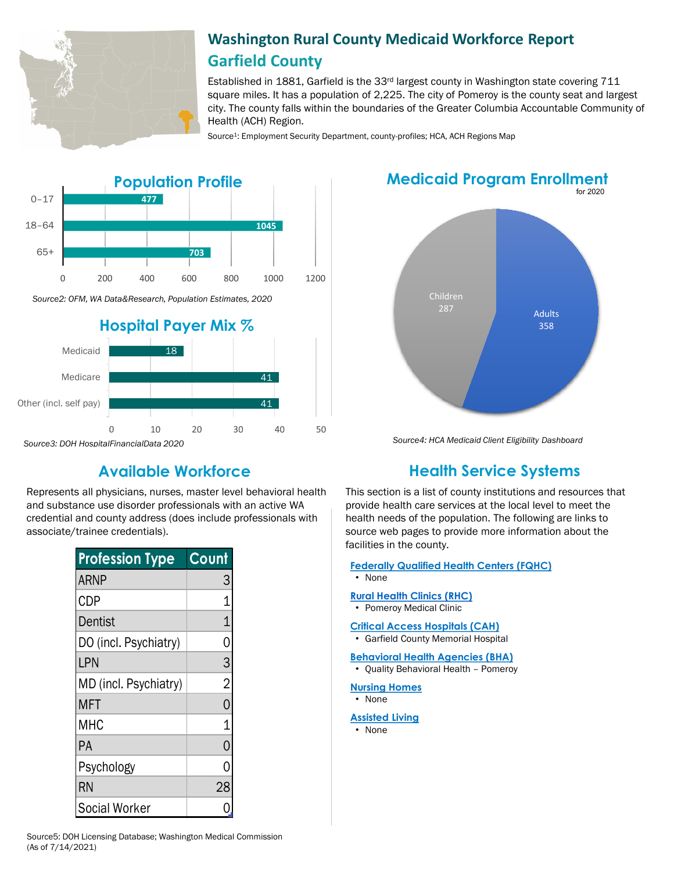

# **Washington Rural County Medicaid Workforce Report Garfield County**

Established in 1881, Garfield is the  $33<sup>rd</sup>$  largest county in Washington state covering 711 square miles. It has a population of 2,225. The city of Pomeroy is the county seat and largest city. The county falls within the boundaries of the Greater Columbia Accountable Community of Health (ACH) Region.

Source<sup>1</sup>: Employment Security Department, county-profiles; HCA, ACH Regions Map



## **Medicaid Program Enrollment**



*Source3: DOH HospitalFinancialData 2020*

Represents all physicians, nurses, master level behavioral health and substance use disorder professionals with an active WA credential and county address (does include professionals with associate/trainee credentials).

| <b>Profession Type</b> | Count          |
|------------------------|----------------|
| <b>ARNP</b>            | 3              |
| <b>CDP</b>             | 1              |
| Dentist                | $\overline{1}$ |
| DO (incl. Psychiatry)  | 0              |
| LPN                    | 3              |
| MD (incl. Psychiatry)  | $\overline{2}$ |
| <b>MFT</b>             | 0              |
| MHC                    | 1              |
| PA                     | 0              |
| Psychology             | 0              |
| <b>RN</b>              | 28             |
| <b>Social Worker</b>   | 0              |

## *Source4: HCA Medicaid Client Eligibility Dashboard*

# **Available Workforce Health Service Systems**

This section is a list of county institutions and resources that provide health care services at the local level to meet the health needs of the population. The following are links to source web pages to provide more information about the facilities in the county.

#### **[Federally Qualified Health Centers \(FQHC\)](https://www.doh.wa.gov/ForPublicHealthandHealthcareProviders/RuralHealth/PrimaryCareOffice)** • None

#### **[Rural Health Clinics \(RHC\)](https://www.doh.wa.gov/ForPublicHealthandHealthcareProviders/RuralHealth/RuralHealthSystems)**

• Pomeroy Medical Clinic

#### **[Critical Access Hospitals \(CAH\)](https://www.doh.wa.gov/ForPublicHealthandHealthcareProviders/RuralHealth/RuralHealthSystems)**

• Garfield County Memorial Hospital

#### **[Behavioral Health Agencies \(BHA\)](https://www.doh.wa.gov/LicensesPermitsandCertificates/ProviderCredentialSearch)**

- Quality Behavioral Health Pomeroy
- **[Nursing Homes](https://fortress.wa.gov/dshs/adsaapps/lookup/NHPubLookup.aspx)**
- None

#### **[Assisted Living](https://fortress.wa.gov/dshs/adsaapps/lookup/BHPubLookup.aspx)**

• None